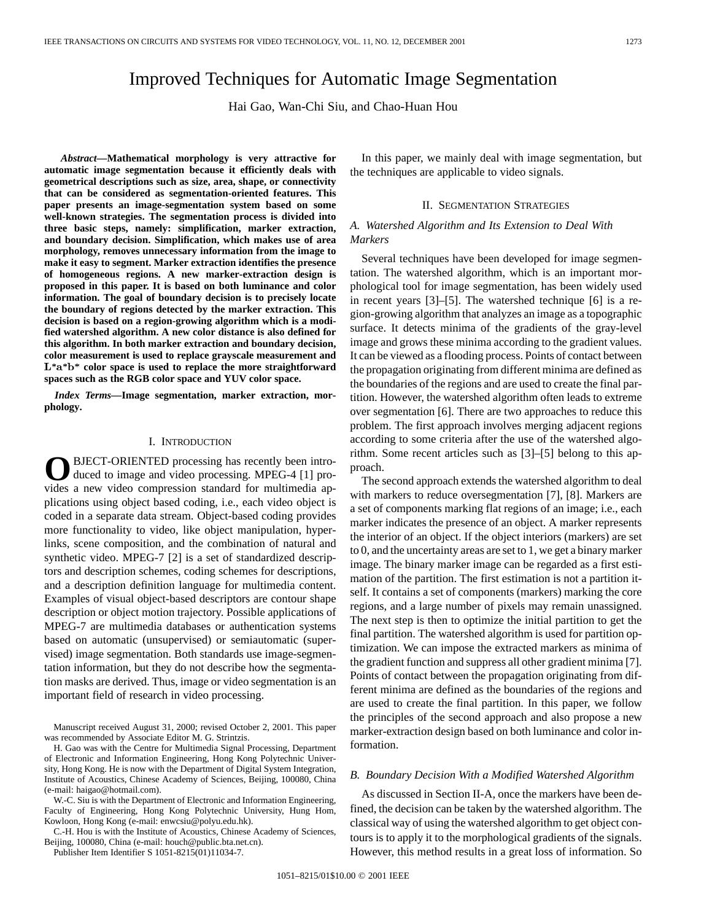# Improved Techniques for Automatic Image Segmentation

Hai Gao, Wan-Chi Siu, and Chao-Huan Hou

*Abstract—***Mathematical morphology is very attractive for automatic image segmentation because it efficiently deals with geometrical descriptions such as size, area, shape, or connectivity that can be considered as segmentation-oriented features. This paper presents an image-segmentation system based on some well-known strategies. The segmentation process is divided into three basic steps, namely: simplification, marker extraction, and boundary decision. Simplification, which makes use of area morphology, removes unnecessary information from the image to make it easy to segment. Marker extraction identifies the presence of homogeneous regions. A new marker-extraction design is proposed in this paper. It is based on both luminance and color information. The goal of boundary decision is to precisely locate the boundary of regions detected by the marker extraction. This decision is based on a region-growing algorithm which is a modified watershed algorithm. A new color distance is also defined for this algorithm. In both marker extraction and boundary decision, color measurement is used to replace grayscale measurement and**  $L^*a^*b^*$  color space is used to replace the more straightforward **spaces such as the RGB color space and YUV color space.**

*Index Terms—***Image segmentation, marker extraction, morphology.**

#### I. INTRODUCTION

BJECT-ORIENTED processing has recently been introduced to image and video processing. MPEG-4 [1] provides a new video compression standard for multimedia applications using object based coding, i.e., each video object is coded in a separate data stream. Object-based coding provides more functionality to video, like object manipulation, hyperlinks, scene composition, and the combination of natural and synthetic video. MPEG-7 [2] is a set of standardized descriptors and description schemes, coding schemes for descriptions, and a description definition language for multimedia content. Examples of visual object-based descriptors are contour shape description or object motion trajectory. Possible applications of MPEG-7 are multimedia databases or authentication systems based on automatic (unsupervised) or semiautomatic (supervised) image segmentation. Both standards use image-segmentation information, but they do not describe how the segmentation masks are derived. Thus, image or video segmentation is an important field of research in video processing.

Manuscript received August 31, 2000; revised October 2, 2001. This paper was recommended by Associate Editor M. G. Strintzis.

H. Gao was with the Centre for Multimedia Signal Processing, Department of Electronic and Information Engineering, Hong Kong Polytechnic University, Hong Kong. He is now with the Department of Digital System Integration, Institute of Acoustics, Chinese Academy of Sciences, Beijing, 100080, China (e-mail: haigao@hotmail.com).

W.-C. Siu is with the Department of Electronic and Information Engineering, Faculty of Engineering, Hong Kong Polytechnic University, Hung Hom, Kowloon, Hong Kong (e-mail: enwcsiu@polyu.edu.hk).

C.-H. Hou is with the Institute of Acoustics, Chinese Academy of Sciences, Beijing, 100080, China (e-mail: houch@public.bta.net.cn).

Publisher Item Identifier S 1051-8215(01)11034-7.

In this paper, we mainly deal with image segmentation, but the techniques are applicable to video signals.

#### II. SEGMENTATION STRATEGIES

# *A. Watershed Algorithm and Its Extension to Deal With Markers*

Several techniques have been developed for image segmentation. The watershed algorithm, which is an important morphological tool for image segmentation, has been widely used in recent years [3]–[5]. The watershed technique [6] is a region-growing algorithm that analyzes an image as a topographic surface. It detects minima of the gradients of the gray-level image and grows these minima according to the gradient values. It can be viewed as a flooding process. Points of contact between the propagation originating from different minima are defined as the boundaries of the regions and are used to create the final partition. However, the watershed algorithm often leads to extreme over segmentation [6]. There are two approaches to reduce this problem. The first approach involves merging adjacent regions according to some criteria after the use of the watershed algorithm. Some recent articles such as [3]–[5] belong to this approach.

The second approach extends the watershed algorithm to deal with markers to reduce oversegmentation [7], [8]. Markers are a set of components marking flat regions of an image; i.e., each marker indicates the presence of an object. A marker represents the interior of an object. If the object interiors (markers) are set to 0, and the uncertainty areas are set to 1, we get a binary marker image. The binary marker image can be regarded as a first estimation of the partition. The first estimation is not a partition itself. It contains a set of components (markers) marking the core regions, and a large number of pixels may remain unassigned. The next step is then to optimize the initial partition to get the final partition. The watershed algorithm is used for partition optimization. We can impose the extracted markers as minima of the gradient function and suppress all other gradient minima [7]. Points of contact between the propagation originating from different minima are defined as the boundaries of the regions and are used to create the final partition. In this paper, we follow the principles of the second approach and also propose a new marker-extraction design based on both luminance and color information.

#### *B. Boundary Decision With a Modified Watershed Algorithm*

As discussed in Section II-A, once the markers have been defined, the decision can be taken by the watershed algorithm. The classical way of using the watershed algorithm to get object contours is to apply it to the morphological gradients of the signals. However, this method results in a great loss of information. So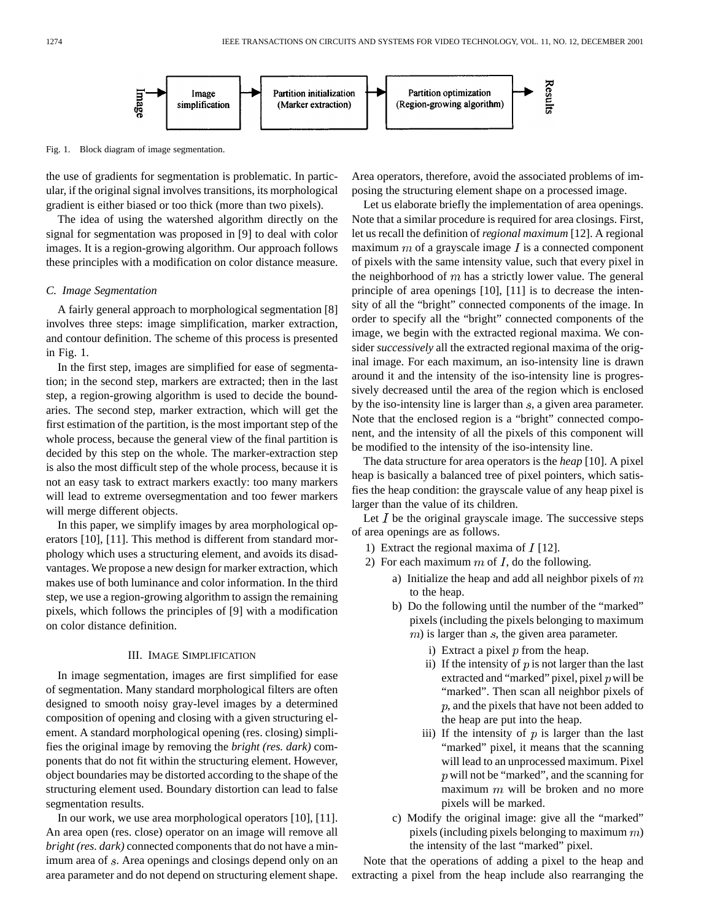

Fig. 1. Block diagram of image segmentation.

the use of gradients for segmentation is problematic. In particular, if the original signal involves transitions, its morphological gradient is either biased or too thick (more than two pixels).

The idea of using the watershed algorithm directly on the signal for segmentation was proposed in [9] to deal with color images. It is a region-growing algorithm. Our approach follows these principles with a modification on color distance measure.

## *C. Image Segmentation*

A fairly general approach to morphological segmentation [8] involves three steps: image simplification, marker extraction, and contour definition. The scheme of this process is presented in Fig. 1.

In the first step, images are simplified for ease of segmentation; in the second step, markers are extracted; then in the last step, a region-growing algorithm is used to decide the boundaries. The second step, marker extraction, which will get the first estimation of the partition, is the most important step of the whole process, because the general view of the final partition is decided by this step on the whole. The marker-extraction step is also the most difficult step of the whole process, because it is not an easy task to extract markers exactly: too many markers will lead to extreme oversegmentation and too fewer markers will merge different objects.

In this paper, we simplify images by area morphological operators [10], [11]. This method is different from standard morphology which uses a structuring element, and avoids its disadvantages. We propose a new design for marker extraction, which makes use of both luminance and color information. In the third step, we use a region-growing algorithm to assign the remaining pixels, which follows the principles of [9] with a modification on color distance definition.

# III. IMAGE SIMPLIFICATION

In image segmentation, images are first simplified for ease of segmentation. Many standard morphological filters are often designed to smooth noisy gray-level images by a determined composition of opening and closing with a given structuring element. A standard morphological opening (res. closing) simplifies the original image by removing the *bright (res. dark)* components that do not fit within the structuring element. However, object boundaries may be distorted according to the shape of the structuring element used. Boundary distortion can lead to false segmentation results.

In our work, we use area morphological operators [10], [11]. An area open (res. close) operator on an image will remove all *bright (res. dark)* connected components that do not have a minimum area of s. Area openings and closings depend only on an area parameter and do not depend on structuring element shape. Area operators, therefore, avoid the associated problems of imposing the structuring element shape on a processed image.

Let us elaborate briefly the implementation of area openings. Note that a similar procedure is required for area closings. First, let us recall the definition of *regional maximum* [12]. A regional maximum  $m$  of a grayscale image  $I$  is a connected component of pixels with the same intensity value, such that every pixel in the neighborhood of  $m$  has a strictly lower value. The general principle of area openings [10], [11] is to decrease the intensity of all the "bright" connected components of the image. In order to specify all the "bright" connected components of the image, we begin with the extracted regional maxima. We consider *successively* all the extracted regional maxima of the original image. For each maximum, an iso-intensity line is drawn around it and the intensity of the iso-intensity line is progressively decreased until the area of the region which is enclosed by the iso-intensity line is larger than  $s$ , a given area parameter. Note that the enclosed region is a "bright" connected component, and the intensity of all the pixels of this component will be modified to the intensity of the iso-intensity line.

The data structure for area operators is the *heap* [10]. A pixel heap is basically a balanced tree of pixel pointers, which satisfies the heap condition: the grayscale value of any heap pixel is larger than the value of its children.

Let  $I$  be the original grayscale image. The successive steps of area openings are as follows.

- 1) Extract the regional maxima of  $I$  [12].
- 2) For each maximum  $m$  of  $I$ , do the following.
	- a) Initialize the heap and add all neighbor pixels of  $m$ to the heap.
	- b) Do the following until the number of the "marked" pixels (including the pixels belonging to maximum  $(m)$  is larger than  $s$ , the given area parameter.
		- i) Extract a pixel  $p$  from the heap.
		- ii) If the intensity of  $p$  is not larger than the last extracted and "marked" pixel, pixel  $p$  will be "marked". Then scan all neighbor pixels of  $p$ , and the pixels that have not been added to the heap are put into the heap.
		- iii) If the intensity of  $p$  is larger than the last "marked" pixel, it means that the scanning will lead to an unprocessed maximum. Pixel  $p$  will not be "marked", and the scanning for maximum  $m$  will be broken and no more pixels will be marked.
	- c) Modify the original image: give all the "marked" pixels (including pixels belonging to maximum  $m$ ) the intensity of the last "marked" pixel.

Note that the operations of adding a pixel to the heap and extracting a pixel from the heap include also rearranging the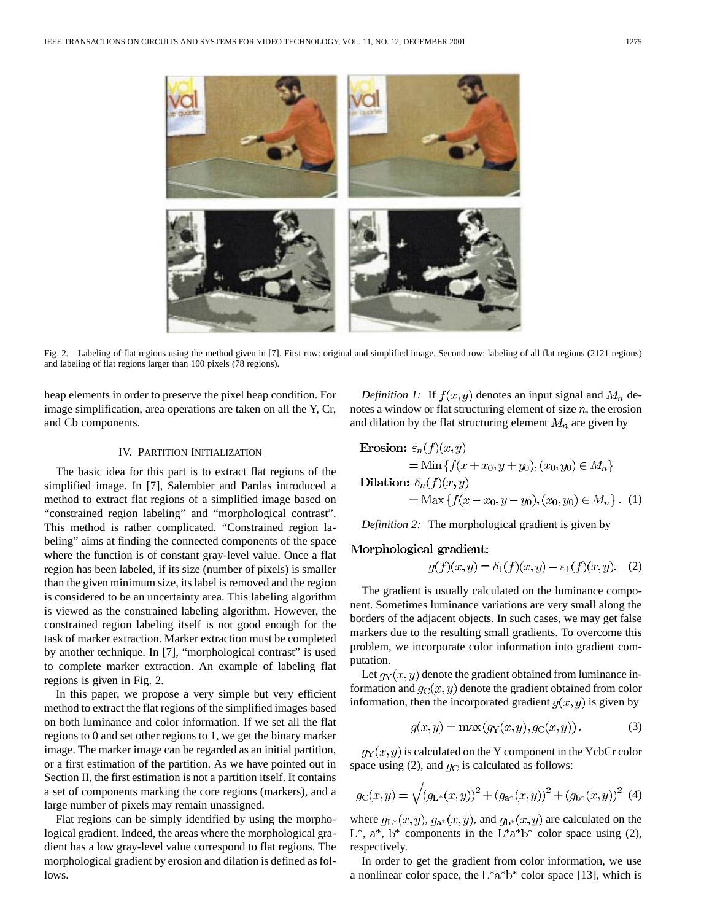

Fig. 2. Labeling of flat regions using the method given in [7]. First row: original and simplified image. Second row: labeling of all flat regions (2121 regions) and labeling of flat regions larger than 100 pixels (78 regions).

heap elements in order to preserve the pixel heap condition. For image simplification, area operations are taken on all the Y, Cr, and Cb components.

# IV. PARTITION INITIALIZATION

The basic idea for this part is to extract flat regions of the simplified image. In [7], Salembier and Pardas introduced a method to extract flat regions of a simplified image based on "constrained region labeling" and "morphological contrast". This method is rather complicated. "Constrained region labeling" aims at finding the connected components of the space where the function is of constant gray-level value. Once a flat region has been labeled, if its size (number of pixels) is smaller than the given minimum size, its label is removed and the region is considered to be an uncertainty area. This labeling algorithm is viewed as the constrained labeling algorithm. However, the constrained region labeling itself is not good enough for the task of marker extraction. Marker extraction must be completed by another technique. In [7], "morphological contrast" is used to complete marker extraction. An example of labeling flat regions is given in Fig. 2.

In this paper, we propose a very simple but very efficient method to extract the flat regions of the simplified images based on both luminance and color information. If we set all the flat regions to 0 and set other regions to 1, we get the binary marker image. The marker image can be regarded as an initial partition, or a first estimation of the partition. As we have pointed out in Section II, the first estimation is not a partition itself. It contains a set of components marking the core regions (markers), and a large number of pixels may remain unassigned.

Flat regions can be simply identified by using the morphological gradient. Indeed, the areas where the morphological gradient has a low gray-level value correspond to flat regions. The morphological gradient by erosion and dilation is defined as follows.

*Definition 1:* If  $f(x, y)$  denotes an input signal and  $M_n$  denotes a window or flat structuring element of size  $n$ , the erosion and dilation by the flat structuring element  $M_n$  are given by

$$
\begin{aligned} \text{Erosion: } & \varepsilon_n(f)(x, y) \\ &= \text{Min}\left\{f(x + x_0, y + y_0), (x_0, y_0) \in M_n\right\} \\ \text{Dilation: } &\delta_n(f)(x, y) \\ &= \text{Max}\left\{f(x - x_0, y - y_0), (x_0, y_0) \in M_n\right\}. \end{aligned} \tag{1}
$$

*Definition 2:* The morphological gradient is given by

## Morphological gradient:

$$
g(f)(x, y) = \delta_1(f)(x, y) - \varepsilon_1(f)(x, y). \quad (2)
$$

The gradient is usually calculated on the luminance component. Sometimes luminance variations are very small along the borders of the adjacent objects. In such cases, we may get false markers due to the resulting small gradients. To overcome this problem, we incorporate color information into gradient computation.

Let  $q_V(x, y)$  denote the gradient obtained from luminance information and  $g_C(x, y)$  denote the gradient obtained from color information, then the incorporated gradient  $g(x, y)$  is given by

$$
g(x,y) = \max(g_Y(x,y), g_C(x,y)).
$$
 (3)

 $g_Y(x, y)$  is calculated on the Y component in the YcbCr color space using (2), and  $g_C$  is calculated as follows:

$$
g_{\mathcal{C}}(x,y) = \sqrt{(g_{\mathcal{L}^*}(x,y))^2 + (g_{\mathbf{a}^*}(x,y))^2 + (g_{\mathbf{b}^*}(x,y))^2}
$$
 (4)

where  $g_{L^*}(x, y), g_{a^*}(x, y)$ , and  $g_{b^*}(x, y)$  are calculated on the  $L^*$ ,  $a^*$ ,  $b^*$  components in the  $L^*a^*b^*$  color space using (2), respectively.

In order to get the gradient from color information, we use a nonlinear color space, the  $L^*a^*b^*$  color space [13], which is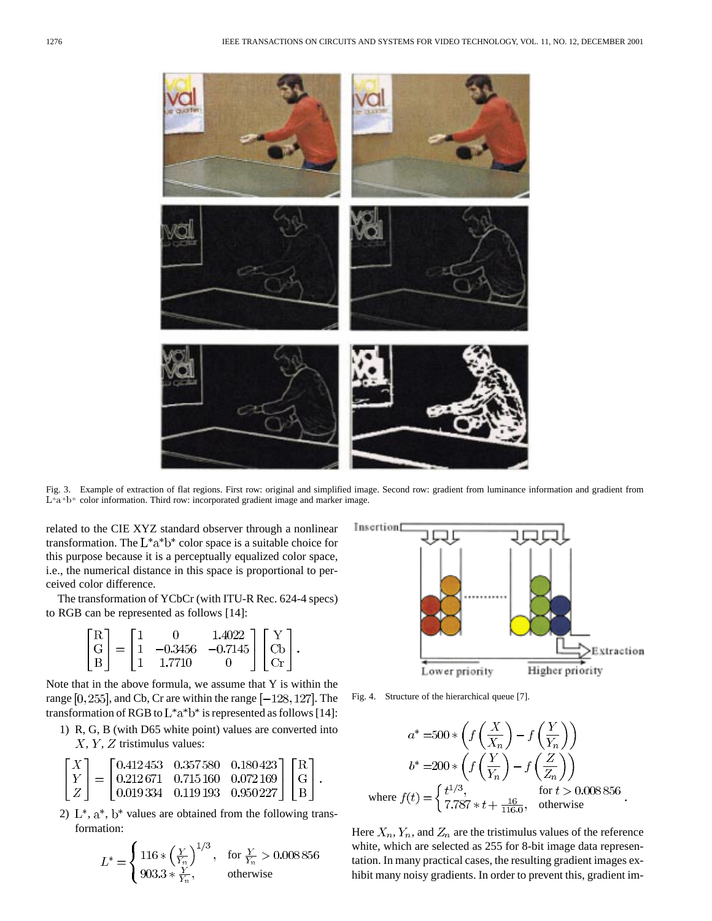

Fig. 3. Example of extraction of flat regions. First row: original and simplified image. Second row: gradient from luminance information and gradient from  $L^*a^*b^*$  color information. Third row: incorporated gradient image and marker image.

related to the CIE XYZ standard observer through a nonlinear transformation. The  $L^*a^*b^*$  color space is a suitable choice for this purpose because it is a perceptually equalized color space, i.e., the numerical distance in this space is proportional to perceived color difference.

The transformation of YCbCr (with ITU-R Rec. 624-4 specs) to RGB can be represented as follows [14]:

$$
\begin{bmatrix} R \\ G \\ B \end{bmatrix} = \begin{bmatrix} 1 & 0 & 1.4022 \\ 1 & -0.3456 & -0.7145 \\ 1 & 1.7710 & 0 \end{bmatrix} \begin{bmatrix} Y \\ Cb \\ Cr \end{bmatrix}.
$$

Note that in the above formula, we assume that Y is within the range  $[0, 255]$ , and Cb, Cr are within the range  $[-128, 127]$ . The transformation of RGB to  $L^*a^*b^*$  is represented as follows [14]:

1) R, G, B (with D65 white point) values are converted into  $X, Y, Z$  tristimulus values:

$$
\begin{bmatrix} X \\ Y \\ Z \end{bmatrix} = \begin{bmatrix} 0.412\,453 & 0.357\,580 & 0.180\,423 \\ 0.212\,671 & 0.715\,160 & 0.072\,169 \\ 0.019\,334 & 0.119\,193 & 0.950\,227 \end{bmatrix} \begin{bmatrix} \text{R} \\ \text{G} \\ \text{B} \end{bmatrix}.
$$

2)  $L^*$ ,  $a^*$ ,  $b^*$  values are obtained from the following transformation:

$$
L^* = \begin{cases} 116 \times \left(\frac{Y}{Y_n}\right)^{1/3}, & \text{for } \frac{Y}{Y_n} > 0.008856\\ 903.3 \times \frac{Y}{Y_n}, & \text{otherwise} \end{cases}
$$



Fig. 4. Structure of the hierarchical queue [7].

$$
a^* = 500 * \left( f\left(\frac{X}{X_n}\right) - f\left(\frac{Y}{Y_n}\right) \right)
$$
  

$$
b^* = 200 * \left( f\left(\frac{Y}{Y_n}\right) - f\left(\frac{Z}{Z_n}\right) \right)
$$
  
where  $f(t) = \begin{cases} t^{1/3}, & \text{for } t > 0.008 856 \\ 7.787 * t + \frac{16}{116.0}, & \text{otherwise} \end{cases}$ .

Here  $X_n$ ,  $Y_n$ , and  $Z_n$  are the tristimulus values of the reference white, which are selected as 255 for 8-bit image data representation. In many practical cases, the resulting gradient images exhibit many noisy gradients. In order to prevent this, gradient im-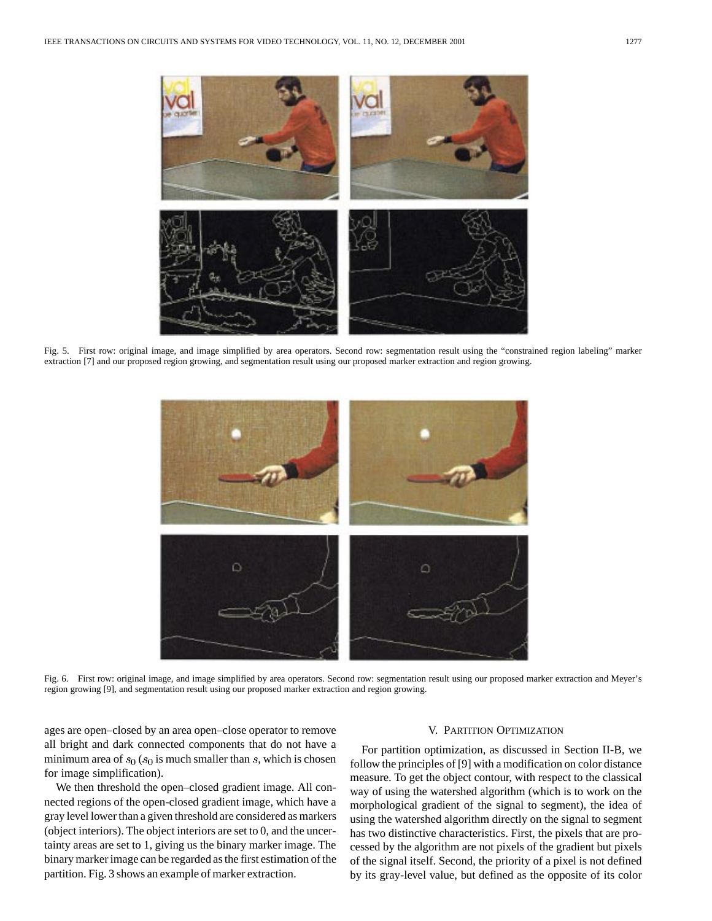

Fig. 5. First row: original image, and image simplified by area operators. Second row: segmentation result using the "constrained region labeling" marker extraction [7] and our proposed region growing, and segmentation result using our proposed marker extraction and region growing.



Fig. 6. First row: original image, and image simplified by area operators. Second row: segmentation result using our proposed marker extraction and Meyer's region growing [9], and segmentation result using our proposed marker extraction and region growing.

ages are open–closed by an area open–close operator to remove all bright and dark connected components that do not have a minimum area of  $s_0$  ( $s_0$  is much smaller than s, which is chosen for image simplification).

We then threshold the open–closed gradient image. All connected regions of the open-closed gradient image, which have a gray level lower than a given threshold are considered as markers (object interiors). The object interiors are set to 0, and the uncertainty areas are set to 1, giving us the binary marker image. The binary marker image can be regarded as the first estimation of the partition. Fig. 3 shows an example of marker extraction.

## V. PARTITION OPTIMIZATION

For partition optimization, as discussed in Section II-B, we follow the principles of [9] with a modification on color distance measure. To get the object contour, with respect to the classical way of using the watershed algorithm (which is to work on the morphological gradient of the signal to segment), the idea of using the watershed algorithm directly on the signal to segment has two distinctive characteristics. First, the pixels that are processed by the algorithm are not pixels of the gradient but pixels of the signal itself. Second, the priority of a pixel is not defined by its gray-level value, but defined as the opposite of its color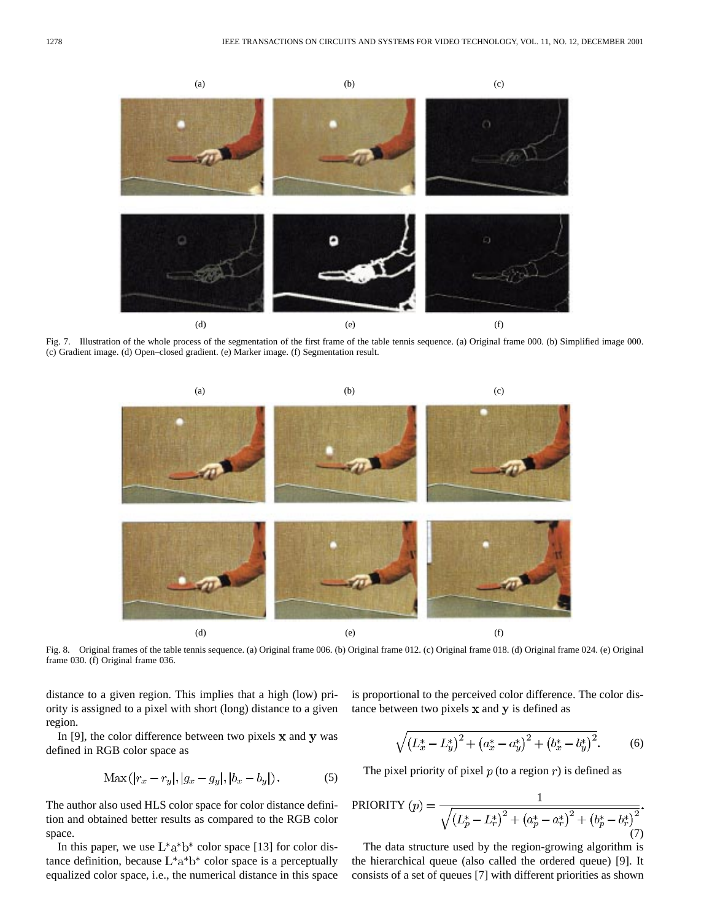

Fig. 7. Illustration of the whole process of the segmentation of the first frame of the table tennis sequence. (a) Original frame 000. (b) Simplified image 000. (c) Gradient image. (d) Open–closed gradient. (e) Marker image. (f) Segmentation result.



Fig. 8. Original frames of the table tennis sequence. (a) Original frame 006. (b) Original frame 012. (c) Original frame 018. (d) Original frame 024. (e) Original frame 030. (f) Original frame 036.

distance to a given region. This implies that a high (low) priority is assigned to a pixel with short (long) distance to a given region.

In [9], the color difference between two pixels  $x$  and  $y$  was defined in RGB color space as

$$
\text{Max}(|r_x - r_y|, |g_x - g_y|, |b_x - b_y|). \tag{5}
$$

The author also used HLS color space for color distance definition and obtained better results as compared to the RGB color space.

In this paper, we use  $L^*a^*b^*$  color space [13] for color distance definition, because  $L^*a^*b^*$  color space is a perceptually equalized color space, i.e., the numerical distance in this space is proportional to the perceived color difference. The color distance between two pixels  $x$  and  $y$  is defined as

$$
\sqrt{\left(L_x^* - L_y^*\right)^2 + \left(a_x^* - a_y^*\right)^2 + \left(b_x^* - b_y^*\right)^2}.
$$
 (6)

The pixel priority of pixel  $p$  (to a region  $r$ ) is defined as

$$
PRIORITY (p) = \frac{1}{\sqrt{(L_p^* - L_r^*)^2 + (a_p^* - a_r^*)^2 + (b_p^* - b_r^*)^2}}.
$$
\n(7)

The data structure used by the region-growing algorithm is the hierarchical queue (also called the ordered queue) [9]. It consists of a set of queues [7] with different priorities as shown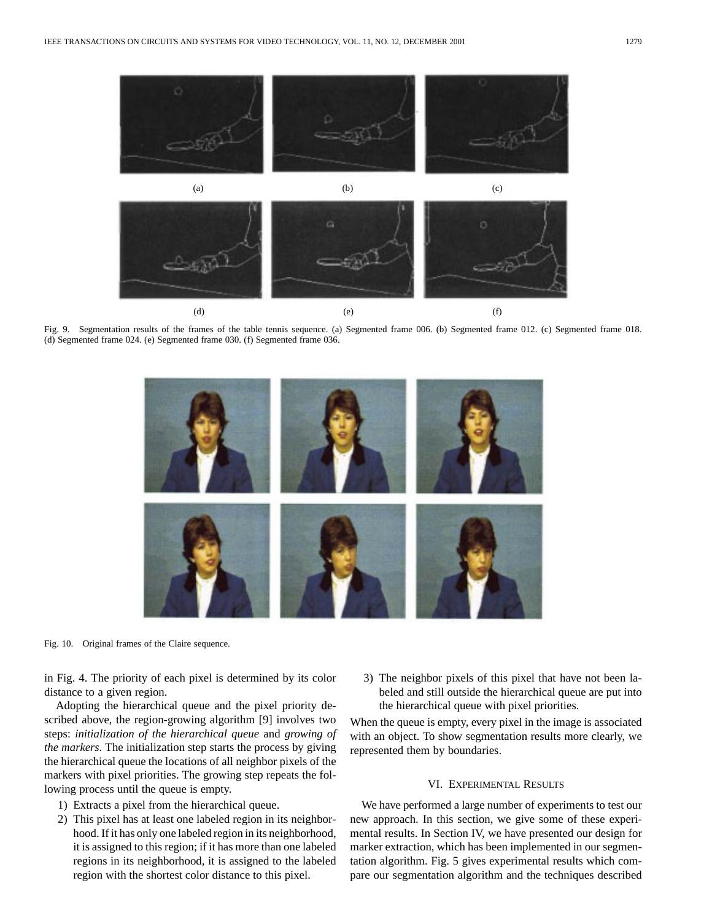

Fig. 9. Segmentation results of the frames of the table tennis sequence. (a) Segmented frame 006. (b) Segmented frame 012. (c) Segmented frame 018. (d) Segmented frame 024. (e) Segmented frame 030. (f) Segmented frame 036.



Fig. 10. Original frames of the Claire sequence.

in Fig. 4. The priority of each pixel is determined by its color distance to a given region.

Adopting the hierarchical queue and the pixel priority described above, the region-growing algorithm [9] involves two steps: *initialization of the hierarchical queue* and *growing of the markers*. The initialization step starts the process by giving the hierarchical queue the locations of all neighbor pixels of the markers with pixel priorities. The growing step repeats the following process until the queue is empty.

- 1) Extracts a pixel from the hierarchical queue.
- 2) This pixel has at least one labeled region in its neighborhood. If it has only one labeled region in its neighborhood, it is assigned to this region; if it has more than one labeled regions in its neighborhood, it is assigned to the labeled region with the shortest color distance to this pixel.

3) The neighbor pixels of this pixel that have not been labeled and still outside the hierarchical queue are put into the hierarchical queue with pixel priorities.

When the queue is empty, every pixel in the image is associated with an object. To show segmentation results more clearly, we represented them by boundaries.

## VI. EXPERIMENTAL RESULTS

We have performed a large number of experiments to test our new approach. In this section, we give some of these experimental results. In Section IV, we have presented our design for marker extraction, which has been implemented in our segmentation algorithm. Fig. 5 gives experimental results which compare our segmentation algorithm and the techniques described